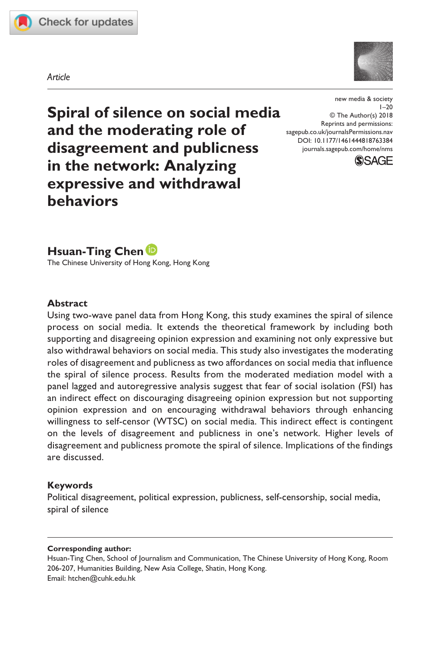

*Article*



**Spiral of silence on social media and the moderating role of disagreement and publicness in the network: Analyzing expressive and withdrawal behaviors**

https://doi.org/10.1177/1461444818763384 DOI: 10.1177/1461444818763384 new media & society  $1 - 20$ © The Author(s) 2018 Reprints and permissions: [sagepub.co.uk/journalsPermissions.nav](https://uk.sagepub.com/en-gb/journals-permissions) [journals.sagepub.com/home/nms](https://journals.sagepub.com/home/nms)



## **Hsuan-Ting Chen**

The Chinese University of Hong Kong, Hong Kong

#### **Abstract**

Using two-wave panel data from Hong Kong, this study examines the spiral of silence process on social media. It extends the theoretical framework by including both supporting and disagreeing opinion expression and examining not only expressive but also withdrawal behaviors on social media. This study also investigates the moderating roles of disagreement and publicness as two affordances on social media that influence the spiral of silence process. Results from the moderated mediation model with a panel lagged and autoregressive analysis suggest that fear of social isolation (FSI) has an indirect effect on discouraging disagreeing opinion expression but not supporting opinion expression and on encouraging withdrawal behaviors through enhancing willingness to self-censor (WTSC) on social media. This indirect effect is contingent on the levels of disagreement and publicness in one's network. Higher levels of disagreement and publicness promote the spiral of silence. Implications of the findings are discussed.

### **Keywords**

Political disagreement, political expression, publicness, self-censorship, social media, spiral of silence

#### **Corresponding author:**

Hsuan-Ting Chen, School of Journalism and Communication, The Chinese University of Hong Kong, Room 206-207, Humanities Building, New Asia College, Shatin, Hong Kong. Email: [htchen@cuhk.edu.hk](mailto:htchen@cuhk.edu.hk)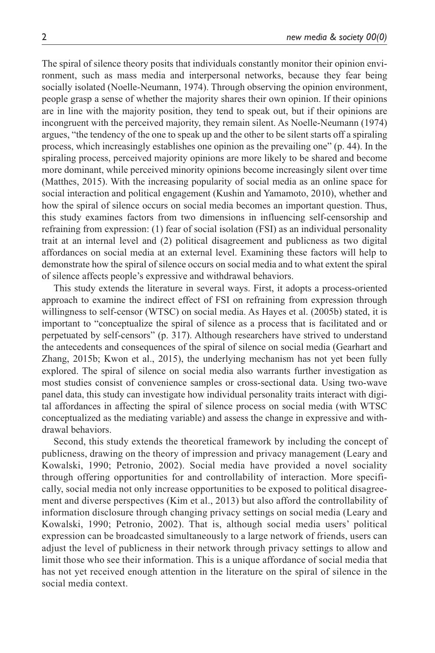The spiral of silence theory posits that individuals constantly monitor their opinion environment, such as mass media and interpersonal networks, because they fear being socially isolated (Noelle-Neumann, 1974). Through observing the opinion environment, people grasp a sense of whether the majority shares their own opinion. If their opinions are in line with the majority position, they tend to speak out, but if their opinions are incongruent with the perceived majority, they remain silent. As Noelle-Neumann (1974) argues, "the tendency of the one to speak up and the other to be silent starts off a spiraling process, which increasingly establishes one opinion as the prevailing one" (p. 44). In the spiraling process, perceived majority opinions are more likely to be shared and become more dominant, while perceived minority opinions become increasingly silent over time (Matthes, 2015). With the increasing popularity of social media as an online space for social interaction and political engagement (Kushin and Yamamoto, 2010), whether and how the spiral of silence occurs on social media becomes an important question. Thus, this study examines factors from two dimensions in influencing self-censorship and refraining from expression: (1) fear of social isolation (FSI) as an individual personality trait at an internal level and (2) political disagreement and publicness as two digital affordances on social media at an external level. Examining these factors will help to demonstrate how the spiral of silence occurs on social media and to what extent the spiral of silence affects people's expressive and withdrawal behaviors.

This study extends the literature in several ways. First, it adopts a process-oriented approach to examine the indirect effect of FSI on refraining from expression through willingness to self-censor (WTSC) on social media. As Hayes et al. (2005b) stated, it is important to "conceptualize the spiral of silence as a process that is facilitated and or perpetuated by self-censors" (p. 317). Although researchers have strived to understand the antecedents and consequences of the spiral of silence on social media (Gearhart and Zhang, 2015b; Kwon et al., 2015), the underlying mechanism has not yet been fully explored. The spiral of silence on social media also warrants further investigation as most studies consist of convenience samples or cross-sectional data. Using two-wave panel data, this study can investigate how individual personality traits interact with digital affordances in affecting the spiral of silence process on social media (with WTSC conceptualized as the mediating variable) and assess the change in expressive and withdrawal behaviors.

Second, this study extends the theoretical framework by including the concept of publicness, drawing on the theory of impression and privacy management (Leary and Kowalski, 1990; Petronio, 2002). Social media have provided a novel sociality through offering opportunities for and controllability of interaction. More specifically, social media not only increase opportunities to be exposed to political disagreement and diverse perspectives (Kim et al., 2013) but also afford the controllability of information disclosure through changing privacy settings on social media (Leary and Kowalski, 1990; Petronio, 2002). That is, although social media users' political expression can be broadcasted simultaneously to a large network of friends, users can adjust the level of publicness in their network through privacy settings to allow and limit those who see their information. This is a unique affordance of social media that has not yet received enough attention in the literature on the spiral of silence in the social media context.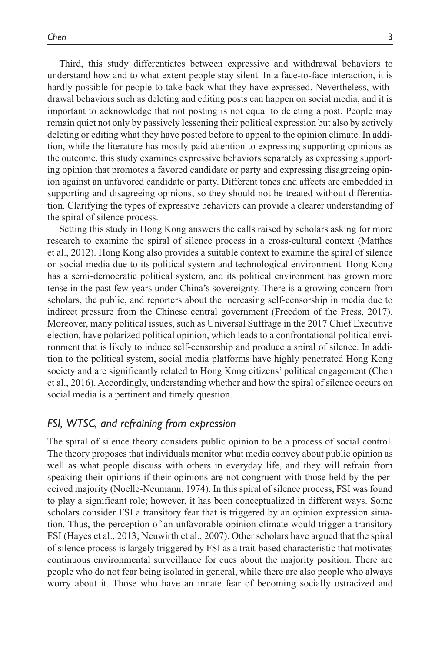Third, this study differentiates between expressive and withdrawal behaviors to understand how and to what extent people stay silent. In a face-to-face interaction, it is hardly possible for people to take back what they have expressed. Nevertheless, withdrawal behaviors such as deleting and editing posts can happen on social media, and it is important to acknowledge that not posting is not equal to deleting a post. People may remain quiet not only by passively lessening their political expression but also by actively deleting or editing what they have posted before to appeal to the opinion climate. In addition, while the literature has mostly paid attention to expressing supporting opinions as the outcome, this study examines expressive behaviors separately as expressing supporting opinion that promotes a favored candidate or party and expressing disagreeing opinion against an unfavored candidate or party. Different tones and affects are embedded in supporting and disagreeing opinions, so they should not be treated without differentiation. Clarifying the types of expressive behaviors can provide a clearer understanding of the spiral of silence process.

Setting this study in Hong Kong answers the calls raised by scholars asking for more research to examine the spiral of silence process in a cross-cultural context (Matthes et al., 2012). Hong Kong also provides a suitable context to examine the spiral of silence on social media due to its political system and technological environment. Hong Kong has a semi-democratic political system, and its political environment has grown more tense in the past few years under China's sovereignty. There is a growing concern from scholars, the public, and reporters about the increasing self-censorship in media due to indirect pressure from the Chinese central government (Freedom of the Press, 2017). Moreover, many political issues, such as Universal Suffrage in the 2017 Chief Executive election, have polarized political opinion, which leads to a confrontational political environment that is likely to induce self-censorship and produce a spiral of silence. In addition to the political system, social media platforms have highly penetrated Hong Kong society and are significantly related to Hong Kong citizens' political engagement (Chen et al., 2016). Accordingly, understanding whether and how the spiral of silence occurs on social media is a pertinent and timely question.

### *FSI, WTSC, and refraining from expression*

The spiral of silence theory considers public opinion to be a process of social control. The theory proposes that individuals monitor what media convey about public opinion as well as what people discuss with others in everyday life, and they will refrain from speaking their opinions if their opinions are not congruent with those held by the perceived majority (Noelle-Neumann, 1974). In this spiral of silence process, FSI was found to play a significant role; however, it has been conceptualized in different ways. Some scholars consider FSI a transitory fear that is triggered by an opinion expression situation. Thus, the perception of an unfavorable opinion climate would trigger a transitory FSI (Hayes et al., 2013; Neuwirth et al., 2007). Other scholars have argued that the spiral of silence process is largely triggered by FSI as a trait-based characteristic that motivates continuous environmental surveillance for cues about the majority position. There are people who do not fear being isolated in general, while there are also people who always worry about it. Those who have an innate fear of becoming socially ostracized and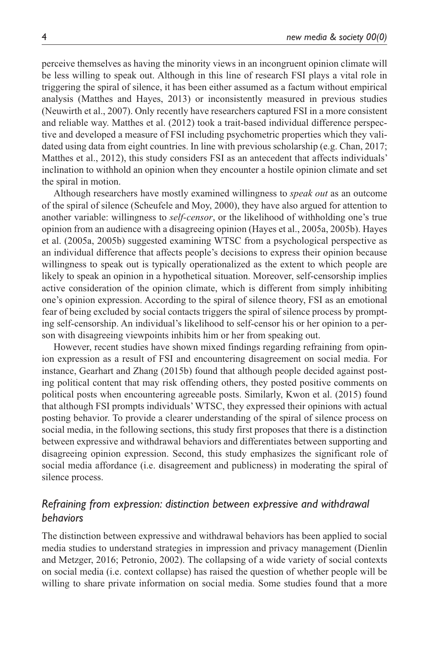perceive themselves as having the minority views in an incongruent opinion climate will be less willing to speak out. Although in this line of research FSI plays a vital role in triggering the spiral of silence, it has been either assumed as a factum without empirical analysis (Matthes and Hayes, 2013) or inconsistently measured in previous studies (Neuwirth et al., 2007). Only recently have researchers captured FSI in a more consistent and reliable way. Matthes et al. (2012) took a trait-based individual difference perspective and developed a measure of FSI including psychometric properties which they validated using data from eight countries. In line with previous scholarship (e.g. Chan, 2017; Matthes et al., 2012), this study considers FSI as an antecedent that affects individuals' inclination to withhold an opinion when they encounter a hostile opinion climate and set the spiral in motion.

Although researchers have mostly examined willingness to *speak out* as an outcome of the spiral of silence (Scheufele and Moy, 2000), they have also argued for attention to another variable: willingness to *self-censor*, or the likelihood of withholding one's true opinion from an audience with a disagreeing opinion (Hayes et al., 2005a, 2005b). Hayes et al. (2005a, 2005b) suggested examining WTSC from a psychological perspective as an individual difference that affects people's decisions to express their opinion because willingness to speak out is typically operationalized as the extent to which people are likely to speak an opinion in a hypothetical situation. Moreover, self-censorship implies active consideration of the opinion climate, which is different from simply inhibiting one's opinion expression. According to the spiral of silence theory, FSI as an emotional fear of being excluded by social contacts triggers the spiral of silence process by prompting self-censorship. An individual's likelihood to self-censor his or her opinion to a person with disagreeing viewpoints inhibits him or her from speaking out.

However, recent studies have shown mixed findings regarding refraining from opinion expression as a result of FSI and encountering disagreement on social media. For instance, Gearhart and Zhang (2015b) found that although people decided against posting political content that may risk offending others, they posted positive comments on political posts when encountering agreeable posts. Similarly, Kwon et al. (2015) found that although FSI prompts individuals' WTSC, they expressed their opinions with actual posting behavior. To provide a clearer understanding of the spiral of silence process on social media, in the following sections, this study first proposes that there is a distinction between expressive and withdrawal behaviors and differentiates between supporting and disagreeing opinion expression. Second, this study emphasizes the significant role of social media affordance (i.e. disagreement and publicness) in moderating the spiral of silence process.

## *Refraining from expression: distinction between expressive and withdrawal behaviors*

The distinction between expressive and withdrawal behaviors has been applied to social media studies to understand strategies in impression and privacy management (Dienlin and Metzger, 2016; Petronio, 2002). The collapsing of a wide variety of social contexts on social media (i.e. context collapse) has raised the question of whether people will be willing to share private information on social media. Some studies found that a more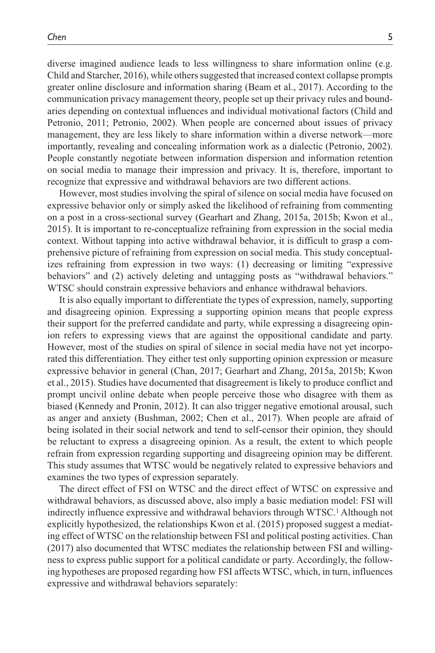diverse imagined audience leads to less willingness to share information online (e.g. Child and Starcher, 2016), while others suggested that increased context collapse prompts greater online disclosure and information sharing (Beam et al., 2017). According to the communication privacy management theory, people set up their privacy rules and boundaries depending on contextual influences and individual motivational factors (Child and Petronio, 2011; Petronio, 2002). When people are concerned about issues of privacy management, they are less likely to share information within a diverse network—more importantly, revealing and concealing information work as a dialectic (Petronio, 2002). People constantly negotiate between information dispersion and information retention on social media to manage their impression and privacy. It is, therefore, important to recognize that expressive and withdrawal behaviors are two different actions.

However, most studies involving the spiral of silence on social media have focused on expressive behavior only or simply asked the likelihood of refraining from commenting on a post in a cross-sectional survey (Gearhart and Zhang, 2015a, 2015b; Kwon et al., 2015). It is important to re-conceptualize refraining from expression in the social media context. Without tapping into active withdrawal behavior, it is difficult to grasp a comprehensive picture of refraining from expression on social media. This study conceptualizes refraining from expression in two ways: (1) decreasing or limiting "expressive behaviors" and (2) actively deleting and untagging posts as "withdrawal behaviors." WTSC should constrain expressive behaviors and enhance withdrawal behaviors.

It is also equally important to differentiate the types of expression, namely, supporting and disagreeing opinion. Expressing a supporting opinion means that people express their support for the preferred candidate and party, while expressing a disagreeing opinion refers to expressing views that are against the oppositional candidate and party. However, most of the studies on spiral of silence in social media have not yet incorporated this differentiation. They either test only supporting opinion expression or measure expressive behavior in general (Chan, 2017; Gearhart and Zhang, 2015a, 2015b; Kwon et al., 2015). Studies have documented that disagreement is likely to produce conflict and prompt uncivil online debate when people perceive those who disagree with them as biased (Kennedy and Pronin, 2012). It can also trigger negative emotional arousal, such as anger and anxiety (Bushman, 2002; Chen et al., 2017). When people are afraid of being isolated in their social network and tend to self-censor their opinion, they should be reluctant to express a disagreeing opinion. As a result, the extent to which people refrain from expression regarding supporting and disagreeing opinion may be different. This study assumes that WTSC would be negatively related to expressive behaviors and examines the two types of expression separately.

The direct effect of FSI on WTSC and the direct effect of WTSC on expressive and withdrawal behaviors, as discussed above, also imply a basic mediation model: FSI will indirectly influence expressive and withdrawal behaviors through WTSC.1 Although not explicitly hypothesized, the relationships Kwon et al. (2015) proposed suggest a mediating effect of WTSC on the relationship between FSI and political posting activities. Chan (2017) also documented that WTSC mediates the relationship between FSI and willingness to express public support for a political candidate or party. Accordingly, the following hypotheses are proposed regarding how FSI affects WTSC, which, in turn, influences expressive and withdrawal behaviors separately: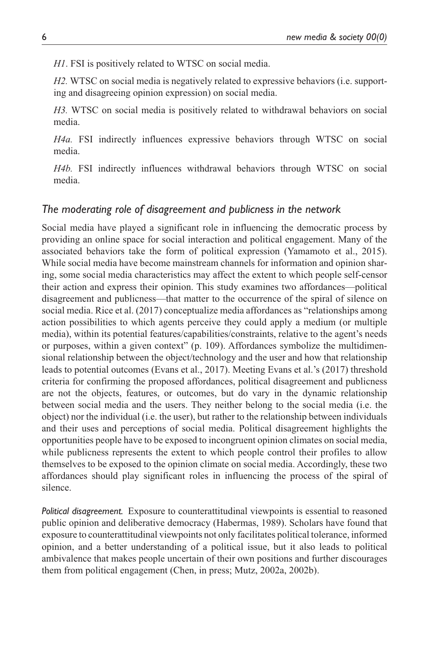*H1*. FSI is positively related to WTSC on social media.

*H2.* WTSC on social media is negatively related to expressive behaviors (i.e. supporting and disagreeing opinion expression) on social media.

*H3.* WTSC on social media is positively related to withdrawal behaviors on social media.

*H4a.* FSI indirectly influences expressive behaviors through WTSC on social media.

*H4b.* FSI indirectly influences withdrawal behaviors through WTSC on social media.

### *The moderating role of disagreement and publicness in the network*

Social media have played a significant role in influencing the democratic process by providing an online space for social interaction and political engagement. Many of the associated behaviors take the form of political expression (Yamamoto et al., 2015). While social media have become mainstream channels for information and opinion sharing, some social media characteristics may affect the extent to which people self-censor their action and express their opinion. This study examines two affordances—political disagreement and publicness—that matter to the occurrence of the spiral of silence on social media. Rice et al. (2017) conceptualize media affordances as "relationships among action possibilities to which agents perceive they could apply a medium (or multiple media), within its potential features/capabilities/constraints, relative to the agent's needs or purposes, within a given context" (p. 109). Affordances symbolize the multidimensional relationship between the object/technology and the user and how that relationship leads to potential outcomes (Evans et al., 2017). Meeting Evans et al.'s (2017) threshold criteria for confirming the proposed affordances, political disagreement and publicness are not the objects, features, or outcomes, but do vary in the dynamic relationship between social media and the users. They neither belong to the social media (i.e. the object) nor the individual (i.e. the user), but rather to the relationship between individuals and their uses and perceptions of social media. Political disagreement highlights the opportunities people have to be exposed to incongruent opinion climates on social media, while publicness represents the extent to which people control their profiles to allow themselves to be exposed to the opinion climate on social media. Accordingly, these two affordances should play significant roles in influencing the process of the spiral of silence.

*Political disagreement.* Exposure to counterattitudinal viewpoints is essential to reasoned public opinion and deliberative democracy (Habermas, 1989). Scholars have found that exposure to counterattitudinal viewpoints not only facilitates political tolerance, informed opinion, and a better understanding of a political issue, but it also leads to political ambivalence that makes people uncertain of their own positions and further discourages them from political engagement (Chen, in press; Mutz, 2002a, 2002b).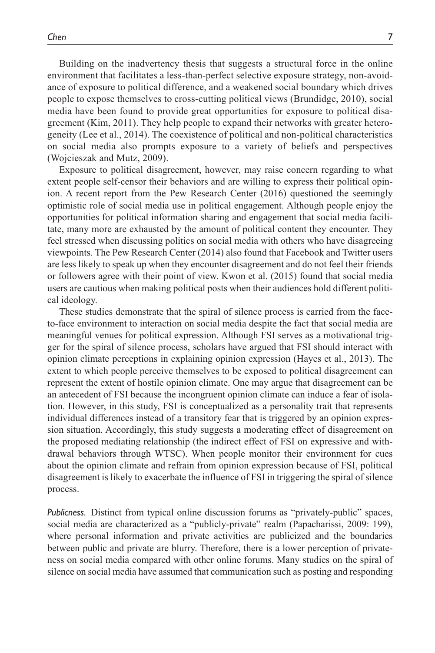Building on the inadvertency thesis that suggests a structural force in the online environment that facilitates a less-than-perfect selective exposure strategy, non-avoidance of exposure to political difference, and a weakened social boundary which drives people to expose themselves to cross-cutting political views (Brundidge, 2010), social media have been found to provide great opportunities for exposure to political disagreement (Kim, 2011). They help people to expand their networks with greater heterogeneity (Lee et al., 2014). The coexistence of political and non-political characteristics on social media also prompts exposure to a variety of beliefs and perspectives (Wojcieszak and Mutz, 2009).

Exposure to political disagreement, however, may raise concern regarding to what extent people self-censor their behaviors and are willing to express their political opinion. A recent report from the Pew Research Center (2016) questioned the seemingly optimistic role of social media use in political engagement. Although people enjoy the opportunities for political information sharing and engagement that social media facilitate, many more are exhausted by the amount of political content they encounter. They feel stressed when discussing politics on social media with others who have disagreeing viewpoints. The Pew Research Center (2014) also found that Facebook and Twitter users are less likely to speak up when they encounter disagreement and do not feel their friends or followers agree with their point of view. Kwon et al. (2015) found that social media users are cautious when making political posts when their audiences hold different political ideology.

These studies demonstrate that the spiral of silence process is carried from the faceto-face environment to interaction on social media despite the fact that social media are meaningful venues for political expression. Although FSI serves as a motivational trigger for the spiral of silence process, scholars have argued that FSI should interact with opinion climate perceptions in explaining opinion expression (Hayes et al., 2013). The extent to which people perceive themselves to be exposed to political disagreement can represent the extent of hostile opinion climate. One may argue that disagreement can be an antecedent of FSI because the incongruent opinion climate can induce a fear of isolation. However, in this study, FSI is conceptualized as a personality trait that represents individual differences instead of a transitory fear that is triggered by an opinion expression situation. Accordingly, this study suggests a moderating effect of disagreement on the proposed mediating relationship (the indirect effect of FSI on expressive and withdrawal behaviors through WTSC). When people monitor their environment for cues about the opinion climate and refrain from opinion expression because of FSI, political disagreement is likely to exacerbate the influence of FSI in triggering the spiral of silence process.

*Publicness.* Distinct from typical online discussion forums as "privately-public" spaces, social media are characterized as a "publicly-private" realm (Papacharissi, 2009: 199), where personal information and private activities are publicized and the boundaries between public and private are blurry. Therefore, there is a lower perception of privateness on social media compared with other online forums. Many studies on the spiral of silence on social media have assumed that communication such as posting and responding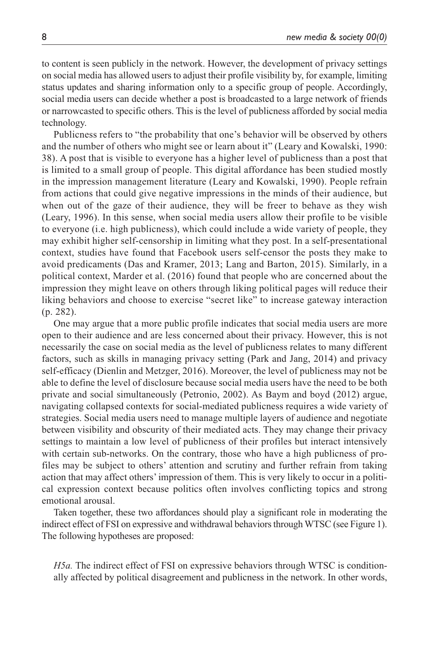to content is seen publicly in the network. However, the development of privacy settings on social media has allowed users to adjust their profile visibility by, for example, limiting status updates and sharing information only to a specific group of people. Accordingly, social media users can decide whether a post is broadcasted to a large network of friends or narrowcasted to specific others. This is the level of publicness afforded by social media technology.

Publicness refers to "the probability that one's behavior will be observed by others and the number of others who might see or learn about it" (Leary and Kowalski, 1990: 38). A post that is visible to everyone has a higher level of publicness than a post that is limited to a small group of people. This digital affordance has been studied mostly in the impression management literature (Leary and Kowalski, 1990). People refrain from actions that could give negative impressions in the minds of their audience, but when out of the gaze of their audience, they will be freer to behave as they wish (Leary, 1996). In this sense, when social media users allow their profile to be visible to everyone (i.e. high publicness), which could include a wide variety of people, they may exhibit higher self-censorship in limiting what they post. In a self-presentational context, studies have found that Facebook users self-censor the posts they make to avoid predicaments (Das and Kramer, 2013; Lang and Barton, 2015). Similarly, in a political context, Marder et al. (2016) found that people who are concerned about the impression they might leave on others through liking political pages will reduce their liking behaviors and choose to exercise "secret like" to increase gateway interaction (p. 282).

One may argue that a more public profile indicates that social media users are more open to their audience and are less concerned about their privacy. However, this is not necessarily the case on social media as the level of publicness relates to many different factors, such as skills in managing privacy setting (Park and Jang, 2014) and privacy self-efficacy (Dienlin and Metzger, 2016). Moreover, the level of publicness may not be able to define the level of disclosure because social media users have the need to be both private and social simultaneously (Petronio, 2002). As Baym and boyd (2012) argue, navigating collapsed contexts for social-mediated publicness requires a wide variety of strategies. Social media users need to manage multiple layers of audience and negotiate between visibility and obscurity of their mediated acts. They may change their privacy settings to maintain a low level of publicness of their profiles but interact intensively with certain sub-networks. On the contrary, those who have a high publicness of profiles may be subject to others' attention and scrutiny and further refrain from taking action that may affect others' impression of them. This is very likely to occur in a political expression context because politics often involves conflicting topics and strong emotional arousal.

Taken together, these two affordances should play a significant role in moderating the indirect effect of FSI on expressive and withdrawal behaviors through WTSC (see Figure 1). The following hypotheses are proposed:

*H5a.* The indirect effect of FSI on expressive behaviors through WTSC is conditionally affected by political disagreement and publicness in the network. In other words,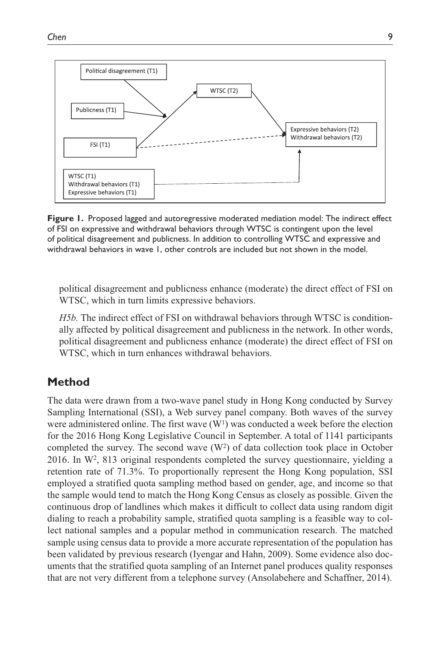

**Figure 1.** Proposed lagged and autoregressive moderated mediation model: The indirect effect of FSI on expressive and withdrawal behaviors through WTSC is contingent upon the level of political disagreement and publicness. In addition to controlling WTSC and expressive and withdrawal behaviors in wave 1, other controls are included but not shown in the model.

political disagreement and publicness enhance (moderate) the direct effect of FSI on WTSC, which in turn limits expressive behaviors.

*H5b.* The indirect effect of FSI on withdrawal behaviors through WTSC is conditionally affected by political disagreement and publicness in the network. In other words, political disagreement and publicness enhance (moderate) the direct effect of FSI on WTSC, which in turn enhances withdrawal behaviors.

# **Method**

The data were drawn from a two-wave panel study in Hong Kong conducted by Survey Sampling International (SSI), a Web survey panel company. Both waves of the survey were administered online. The first wave  $(W<sup>1</sup>)$  was conducted a week before the election for the 2016 Hong Kong Legislative Council in September. A total of 1141 participants completed the survey. The second wave  $(W^2)$  of data collection took place in October 2016. In W2, 813 original respondents completed the survey questionnaire, yielding a retention rate of 71.3%. To proportionally represent the Hong Kong population, SSI employed a stratified quota sampling method based on gender, age, and income so that the sample would tend to match the Hong Kong Census as closely as possible. Given the continuous drop of landlines which makes it difficult to collect data using random digit dialing to reach a probability sample, stratified quota sampling is a feasible way to collect national samples and a popular method in communication research. The matched sample using census data to provide a more accurate representation of the population has been validated by previous research (Iyengar and Hahn, 2009). Some evidence also documents that the stratified quota sampling of an Internet panel produces quality responses that are not very different from a telephone survey (Ansolabehere and Schaffner, 2014).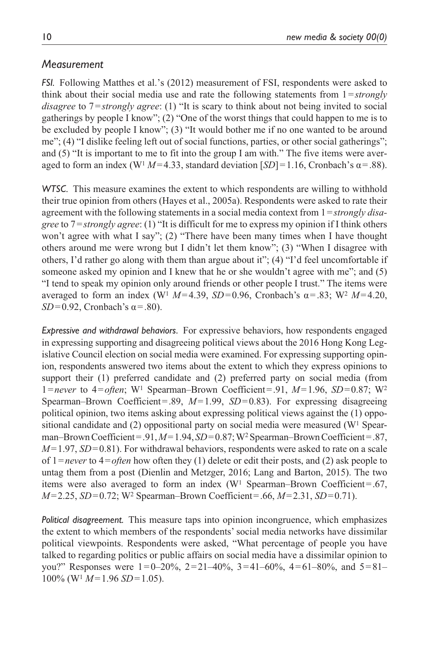### *Measurement*

*FSI.* Following Matthes et al.'s (2012) measurement of FSI, respondents were asked to think about their social media use and rate the following statements from 1=*strongly disagree* to 7=*strongly agree*: (1) "It is scary to think about not being invited to social gatherings by people I know"; (2) "One of the worst things that could happen to me is to be excluded by people I know"; (3) "It would bother me if no one wanted to be around me"; (4) "I dislike feeling left out of social functions, parties, or other social gatherings"; and (5) "It is important to me to fit into the group I am with." The five items were averaged to form an index ( $W<sup>1</sup>M=4.33$ , standard deviation  $[SD] = 1.16$ , Cronbach's  $\alpha = .88$ ).

*WTSC.* This measure examines the extent to which respondents are willing to withhold their true opinion from others (Hayes et al., 2005a). Respondents were asked to rate their agreement with the following statements in a social media context from 1=*strongly disagree* to 7=*strongly agree*: (1) "It is difficult for me to express my opinion if I think others won't agree with what I say"; (2) "There have been many times when I have thought others around me were wrong but I didn't let them know"; (3) "When I disagree with others, I'd rather go along with them than argue about it"; (4) "I'd feel uncomfortable if someone asked my opinion and I knew that he or she wouldn't agree with me"; and (5) "I tend to speak my opinion only around friends or other people I trust." The items were averaged to form an index (W<sup>1</sup>  $M=4.39$ ,  $SD=0.96$ , Cronbach's  $\alpha = .83$ ; W<sup>2</sup>  $M=4.20$ ,  $SD=0.92$ , Cronbach's  $\alpha = .80$ ).

*Expressive and withdrawal behaviors.* For expressive behaviors, how respondents engaged in expressing supporting and disagreeing political views about the 2016 Hong Kong Legislative Council election on social media were examined. For expressing supporting opinion, respondents answered two items about the extent to which they express opinions to support their (1) preferred candidate and (2) preferred party on social media (from 1=*never* to 4=*often*; W1 Spearman–Brown Coefficient=.91, *M*=1.96, *SD*=0.87; W2 Spearman–Brown Coefficient=.89, *M*=1.99, *SD*=0.83). For expressing disagreeing political opinion, two items asking about expressing political views against the (1) oppositional candidate and  $(2)$  oppositional party on social media were measured (W<sup>1</sup> Spearman–Brown Coefficient=.91, *M*=1.94, *SD*=0.87; W2 Spearman–Brown Coefficient=.87, *M*=1.97, *SD*=0.81). For withdrawal behaviors, respondents were asked to rate on a scale of 1=*never* to 4=*often* how often they (1) delete or edit their posts, and (2) ask people to untag them from a post (Dienlin and Metzger, 2016; Lang and Barton, 2015). The two items were also averaged to form an index  $(W<sup>1</sup>$  Spearman–Brown Coefficient=.67, *M*=2.25, *SD*=0.72; W2 Spearman–Brown Coefficient=.66, *M*=2.31, *SD*=0.71).

*Political disagreement.* This measure taps into opinion incongruence, which emphasizes the extent to which members of the respondents' social media networks have dissimilar political viewpoints. Respondents were asked, "What percentage of people you have talked to regarding politics or public affairs on social media have a dissimilar opinion to you?" Responses were  $1=0-20\%$ ,  $2=21-40\%$ ,  $3=41-60\%$ ,  $4=61-80\%$ , and  $5=81-$ 100% (W1 *M*=1.96 *SD*=1.05).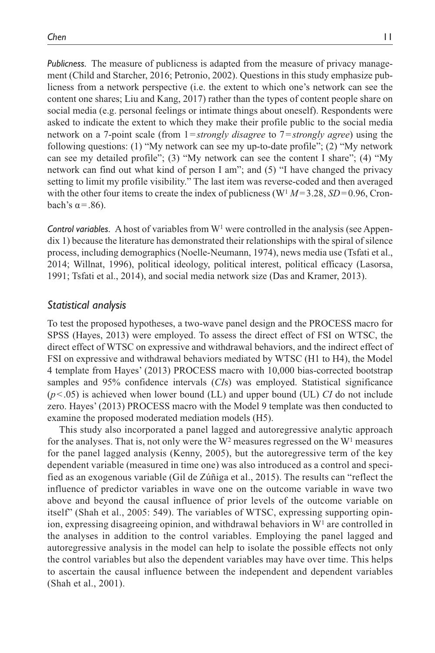*Publicness.* The measure of publicness is adapted from the measure of privacy management (Child and Starcher, 2016; Petronio, 2002). Questions in this study emphasize publicness from a network perspective (i.e. the extent to which one's network can see the content one shares; Liu and Kang, 2017) rather than the types of content people share on social media (e.g. personal feelings or intimate things about oneself). Respondents were asked to indicate the extent to which they make their profile public to the social media network on a 7-point scale (from 1=*strongly disagree* to 7=*strongly agree*) using the following questions: (1) "My network can see my up-to-date profile"; (2) "My network can see my detailed profile"; (3) "My network can see the content I share"; (4) "My network can find out what kind of person I am"; and (5) "I have changed the privacy setting to limit my profile visibility." The last item was reverse-coded and then averaged with the other four items to create the index of publicness ( $W<sup>1</sup> M = 3.28$ ,  $SD = 0.96$ , Cronbach's  $α = .86$ ).

**Control variables.** A host of variables from  $W<sup>1</sup>$  were controlled in the analysis (see Appendix 1) because the literature has demonstrated their relationships with the spiral of silence process, including demographics (Noelle-Neumann, 1974), news media use (Tsfati et al., 2014; Willnat, 1996), political ideology, political interest, political efficacy (Lasorsa, 1991; Tsfati et al., 2014), and social media network size (Das and Kramer, 2013).

### *Statistical analysis*

To test the proposed hypotheses, a two-wave panel design and the PROCESS macro for SPSS (Hayes, 2013) were employed. To assess the direct effect of FSI on WTSC, the direct effect of WTSC on expressive and withdrawal behaviors, and the indirect effect of FSI on expressive and withdrawal behaviors mediated by WTSC (H1 to H4), the Model 4 template from Hayes' (2013) PROCESS macro with 10,000 bias-corrected bootstrap samples and 95% confidence intervals (*CI*s) was employed. Statistical significance (*p*<.05) is achieved when lower bound (LL) and upper bound (UL) *CI* do not include zero. Hayes' (2013) PROCESS macro with the Model 9 template was then conducted to examine the proposed moderated mediation models (H5).

This study also incorporated a panel lagged and autoregressive analytic approach for the analyses. That is, not only were the  $W^2$  measures regressed on the  $W^1$  measures for the panel lagged analysis (Kenny, 2005), but the autoregressive term of the key dependent variable (measured in time one) was also introduced as a control and specified as an exogenous variable (Gil de Zúñiga et al., 2015). The results can "reflect the influence of predictor variables in wave one on the outcome variable in wave two above and beyond the causal influence of prior levels of the outcome variable on itself" (Shah et al., 2005: 549). The variables of WTSC, expressing supporting opinion, expressing disagreeing opinion, and withdrawal behaviors in  $W<sup>1</sup>$  are controlled in the analyses in addition to the control variables. Employing the panel lagged and autoregressive analysis in the model can help to isolate the possible effects not only the control variables but also the dependent variables may have over time. This helps to ascertain the causal influence between the independent and dependent variables (Shah et al., 2001).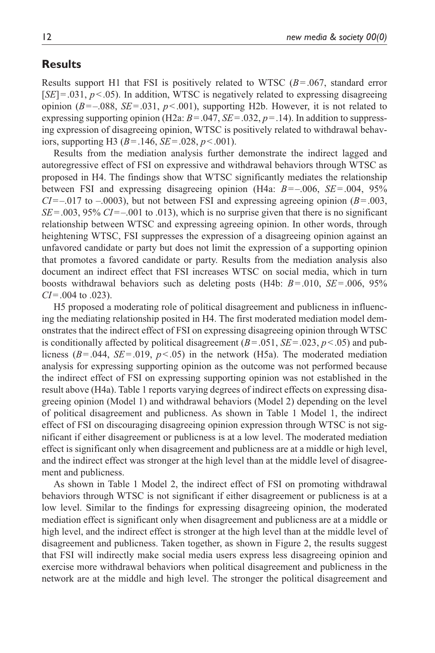### **Results**

Results support H1 that FSI is positively related to WTSC (*B*=.067, standard error  $[SE] = .031, p < .05$ ). In addition, WTSC is negatively related to expressing disagreeing opinion  $(B=-.088, SE=.031, p<.001)$ , supporting H2b. However, it is not related to expressing supporting opinion (H2a:  $B = .047$ ,  $SE = .032$ ,  $p = .14$ ). In addition to suppressing expression of disagreeing opinion, WTSC is positively related to withdrawal behaviors, supporting H3 (*B*=.146, *SE*=.028, *p*<.001).

Results from the mediation analysis further demonstrate the indirect lagged and autoregressive effect of FSI on expressive and withdrawal behaviors through WTSC as proposed in H4. The findings show that WTSC significantly mediates the relationship between FSI and expressing disagreeing opinion (H4a: *B*=–.006, *SE*=.004, 95%  $CI = -0.017$  to  $-0.0003$ ), but not between FSI and expressing agreeing opinion ( $B = 0.003$ , *SE*=.003, 95% *CI*=–.001 to .013), which is no surprise given that there is no significant relationship between WTSC and expressing agreeing opinion. In other words, through heightening WTSC, FSI suppresses the expression of a disagreeing opinion against an unfavored candidate or party but does not limit the expression of a supporting opinion that promotes a favored candidate or party. Results from the mediation analysis also document an indirect effect that FSI increases WTSC on social media, which in turn boosts withdrawal behaviors such as deleting posts (H4b: *B*=.010, *SE*=.006, 95% *CI*=.004 to .023).

H5 proposed a moderating role of political disagreement and publicness in influencing the mediating relationship posited in H4. The first moderated mediation model demonstrates that the indirect effect of FSI on expressing disagreeing opinion through WTSC is conditionally affected by political disagreement  $(B=.051, SE=.023, p<.05)$  and publicness  $(B=.044, SE=.019, p<.05)$  in the network (H5a). The moderated mediation analysis for expressing supporting opinion as the outcome was not performed because the indirect effect of FSI on expressing supporting opinion was not established in the result above (H4a). Table 1 reports varying degrees of indirect effects on expressing disagreeing opinion (Model 1) and withdrawal behaviors (Model 2) depending on the level of political disagreement and publicness. As shown in Table 1 Model 1, the indirect effect of FSI on discouraging disagreeing opinion expression through WTSC is not significant if either disagreement or publicness is at a low level. The moderated mediation effect is significant only when disagreement and publicness are at a middle or high level, and the indirect effect was stronger at the high level than at the middle level of disagreement and publicness.

As shown in Table 1 Model 2, the indirect effect of FSI on promoting withdrawal behaviors through WTSC is not significant if either disagreement or publicness is at a low level. Similar to the findings for expressing disagreeing opinion, the moderated mediation effect is significant only when disagreement and publicness are at a middle or high level, and the indirect effect is stronger at the high level than at the middle level of disagreement and publicness. Taken together, as shown in Figure 2, the results suggest that FSI will indirectly make social media users express less disagreeing opinion and exercise more withdrawal behaviors when political disagreement and publicness in the network are at the middle and high level. The stronger the political disagreement and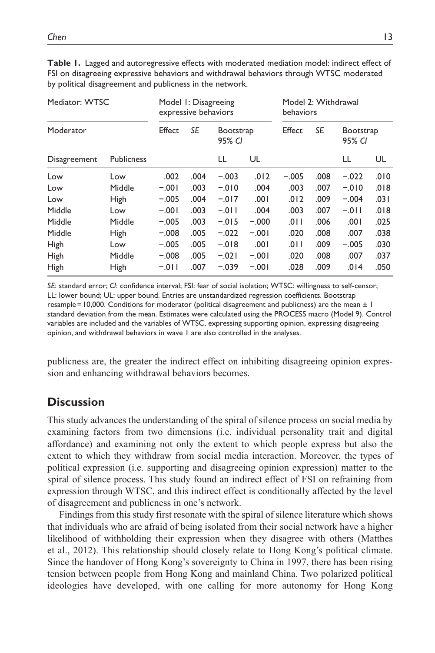| Mediator: WTSC<br>Moderator |                   | Model 1: Disagreeing<br>expressive behaviors |           |                            |         | Model 2: Withdrawal<br>behaviors |      |                            |      |
|-----------------------------|-------------------|----------------------------------------------|-----------|----------------------------|---------|----------------------------------|------|----------------------------|------|
|                             |                   | Effect                                       | <b>SE</b> | <b>Bootstrap</b><br>95% CI |         | Effect                           | SE   | <b>Bootstrap</b><br>95% CI |      |
| Disagreement                | <b>Publicness</b> |                                              |           | LL                         | UL      |                                  |      | LL                         | UL   |
| Low                         | Low               | .002                                         | .004      | $-.003$                    | .012    | $-.005$                          | .008 | $-.022$                    | .010 |
| Low                         | Middle            | $-.001$                                      | .003      | $-.010$                    | .004    | .003                             | .007 | $-0.010$                   | .018 |
| Low                         | <b>High</b>       | $-.005$                                      | .004      | $-.017$                    | .001    | .012                             | .009 | $-.004$                    | .031 |
| Middle                      | Low               | $-.001$                                      | .003      | $-.011$                    | .004    | .003                             | .007 | $-.011$                    | .018 |
| Middle                      | Middle            | $-.005$                                      | .003      | $-.015$                    | $-.000$ | .011                             | .006 | .001                       | .025 |
| Middle                      | <b>High</b>       | $-.008$                                      | .005      | $-.022$                    | $-.001$ | .020                             | .008 | .007                       | .038 |
| High                        | Low               | $-.005$                                      | .005      | $-.018$                    | .001    | .011                             | .009 | $-.005$                    | .030 |
| High                        | Middle            | $-.008$                                      | .005      | $-.021$                    | $-.001$ | .020                             | .008 | .007                       | .037 |
| High                        | <b>High</b>       | $-.011$                                      | .007      | $-.039$                    | $-.001$ | .028                             | .009 | .014                       | .050 |

**Table 1.** Lagged and autoregressive effects with moderated mediation model: indirect effect of FSI on disagreeing expressive behaviors and withdrawal behaviors through WTSC moderated by political disagreement and publicness in the network.

*SE*: standard error; *CI*: confidence interval; FSI: fear of social isolation; WTSC: willingness to self-censor; LL: lower bound; UL: upper bound. Entries are unstandardized regression coefficients. Bootstrap resample=10,000. Conditions for moderator (political disagreement and publicness) are the mean ± 1 standard deviation from the mean. Estimates were calculated using the PROCESS macro (Model 9). Control variables are included and the variables of WTSC, expressing supporting opinion, expressing disagreeing opinion, and withdrawal behaviors in wave 1 are also controlled in the analyses.

publicness are, the greater the indirect effect on inhibiting disagreeing opinion expression and enhancing withdrawal behaviors becomes.

## **Discussion**

This study advances the understanding of the spiral of silence process on social media by examining factors from two dimensions (i.e. individual personality trait and digital affordance) and examining not only the extent to which people express but also the extent to which they withdraw from social media interaction. Moreover, the types of political expression (i.e. supporting and disagreeing opinion expression) matter to the spiral of silence process. This study found an indirect effect of FSI on refraining from expression through WTSC, and this indirect effect is conditionally affected by the level of disagreement and publicness in one's network.

Findings from this study first resonate with the spiral of silence literature which shows that individuals who are afraid of being isolated from their social network have a higher likelihood of withholding their expression when they disagree with others (Matthes et al., 2012). This relationship should closely relate to Hong Kong's political climate. Since the handover of Hong Kong's sovereignty to China in 1997, there has been rising tension between people from Hong Kong and mainland China. Two polarized political ideologies have developed, with one calling for more autonomy for Hong Kong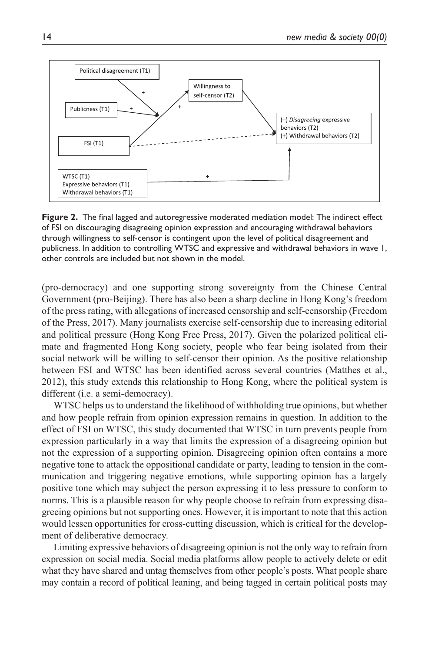

**Figure 2.** The final lagged and autoregressive moderated mediation model: The indirect effect of FSI on discouraging disagreeing opinion expression and encouraging withdrawal behaviors through willingness to self-censor is contingent upon the level of political disagreement and publicness. In addition to controlling WTSC and expressive and withdrawal behaviors in wave 1, other controls are included but not shown in the model.

(pro-democracy) and one supporting strong sovereignty from the Chinese Central Government (pro-Beijing). There has also been a sharp decline in Hong Kong's freedom of the press rating, with allegations of increased censorship and self-censorship (Freedom of the Press, 2017). Many journalists exercise self-censorship due to increasing editorial and political pressure (Hong Kong Free Press, 2017). Given the polarized political climate and fragmented Hong Kong society, people who fear being isolated from their social network will be willing to self-censor their opinion. As the positive relationship between FSI and WTSC has been identified across several countries (Matthes et al., 2012), this study extends this relationship to Hong Kong, where the political system is different (i.e. a semi-democracy).

WTSC helps us to understand the likelihood of withholding true opinions, but whether and how people refrain from opinion expression remains in question. In addition to the effect of FSI on WTSC, this study documented that WTSC in turn prevents people from expression particularly in a way that limits the expression of a disagreeing opinion but not the expression of a supporting opinion. Disagreeing opinion often contains a more negative tone to attack the oppositional candidate or party, leading to tension in the communication and triggering negative emotions, while supporting opinion has a largely positive tone which may subject the person expressing it to less pressure to conform to norms. This is a plausible reason for why people choose to refrain from expressing disagreeing opinions but not supporting ones. However, it is important to note that this action would lessen opportunities for cross-cutting discussion, which is critical for the development of deliberative democracy.

Limiting expressive behaviors of disagreeing opinion is not the only way to refrain from expression on social media. Social media platforms allow people to actively delete or edit what they have shared and untag themselves from other people's posts. What people share may contain a record of political leaning, and being tagged in certain political posts may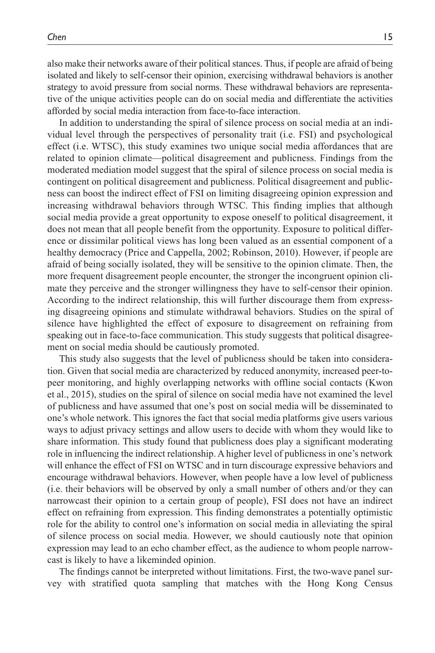also make their networks aware of their political stances. Thus, if people are afraid of being isolated and likely to self-censor their opinion, exercising withdrawal behaviors is another strategy to avoid pressure from social norms. These withdrawal behaviors are representative of the unique activities people can do on social media and differentiate the activities afforded by social media interaction from face-to-face interaction.

In addition to understanding the spiral of silence process on social media at an individual level through the perspectives of personality trait (i.e. FSI) and psychological effect (i.e. WTSC), this study examines two unique social media affordances that are related to opinion climate—political disagreement and publicness. Findings from the moderated mediation model suggest that the spiral of silence process on social media is contingent on political disagreement and publicness. Political disagreement and publicness can boost the indirect effect of FSI on limiting disagreeing opinion expression and increasing withdrawal behaviors through WTSC. This finding implies that although social media provide a great opportunity to expose oneself to political disagreement, it does not mean that all people benefit from the opportunity. Exposure to political difference or dissimilar political views has long been valued as an essential component of a healthy democracy (Price and Cappella, 2002; Robinson, 2010). However, if people are afraid of being socially isolated, they will be sensitive to the opinion climate. Then, the more frequent disagreement people encounter, the stronger the incongruent opinion climate they perceive and the stronger willingness they have to self-censor their opinion. According to the indirect relationship, this will further discourage them from expressing disagreeing opinions and stimulate withdrawal behaviors. Studies on the spiral of silence have highlighted the effect of exposure to disagreement on refraining from speaking out in face-to-face communication. This study suggests that political disagreement on social media should be cautiously promoted.

This study also suggests that the level of publicness should be taken into consideration. Given that social media are characterized by reduced anonymity, increased peer-topeer monitoring, and highly overlapping networks with offline social contacts (Kwon et al., 2015), studies on the spiral of silence on social media have not examined the level of publicness and have assumed that one's post on social media will be disseminated to one's whole network. This ignores the fact that social media platforms give users various ways to adjust privacy settings and allow users to decide with whom they would like to share information. This study found that publicness does play a significant moderating role in influencing the indirect relationship. A higher level of publicness in one's network will enhance the effect of FSI on WTSC and in turn discourage expressive behaviors and encourage withdrawal behaviors. However, when people have a low level of publicness (i.e. their behaviors will be observed by only a small number of others and/or they can narrowcast their opinion to a certain group of people), FSI does not have an indirect effect on refraining from expression. This finding demonstrates a potentially optimistic role for the ability to control one's information on social media in alleviating the spiral of silence process on social media. However, we should cautiously note that opinion expression may lead to an echo chamber effect, as the audience to whom people narrowcast is likely to have a likeminded opinion.

The findings cannot be interpreted without limitations. First, the two-wave panel survey with stratified quota sampling that matches with the Hong Kong Census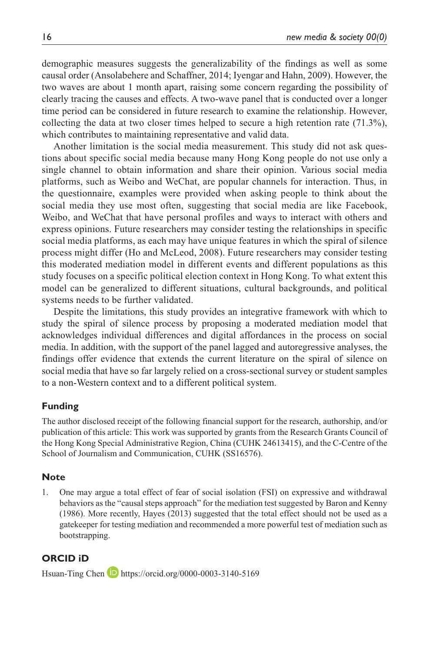demographic measures suggests the generalizability of the findings as well as some causal order (Ansolabehere and Schaffner, 2014; Iyengar and Hahn, 2009). However, the two waves are about 1 month apart, raising some concern regarding the possibility of clearly tracing the causes and effects. A two-wave panel that is conducted over a longer time period can be considered in future research to examine the relationship. However, collecting the data at two closer times helped to secure a high retention rate (71.3%), which contributes to maintaining representative and valid data.

Another limitation is the social media measurement. This study did not ask questions about specific social media because many Hong Kong people do not use only a single channel to obtain information and share their opinion. Various social media platforms, such as Weibo and WeChat, are popular channels for interaction. Thus, in the questionnaire, examples were provided when asking people to think about the social media they use most often, suggesting that social media are like Facebook, Weibo, and WeChat that have personal profiles and ways to interact with others and express opinions. Future researchers may consider testing the relationships in specific social media platforms, as each may have unique features in which the spiral of silence process might differ (Ho and McLeod, 2008). Future researchers may consider testing this moderated mediation model in different events and different populations as this study focuses on a specific political election context in Hong Kong. To what extent this model can be generalized to different situations, cultural backgrounds, and political systems needs to be further validated.

Despite the limitations, this study provides an integrative framework with which to study the spiral of silence process by proposing a moderated mediation model that acknowledges individual differences and digital affordances in the process on social media. In addition, with the support of the panel lagged and autoregressive analyses, the findings offer evidence that extends the current literature on the spiral of silence on social media that have so far largely relied on a cross-sectional survey or student samples to a non-Western context and to a different political system.

#### **Funding**

The author disclosed receipt of the following financial support for the research, authorship, and/or publication of this article: This work was supported by grants from the Research Grants Council of the Hong Kong Special Administrative Region, China (CUHK 24613415), and the C-Centre of the School of Journalism and Communication, CUHK (SS16576).

#### **Note**

1. One may argue a total effect of fear of social isolation (FSI) on expressive and withdrawal behaviors as the "causal steps approach" for the mediation test suggested by Baron and Kenny (1986). More recently, Hayes (2013) suggested that the total effect should not be used as a gatekeeper for testing mediation and recommended a more powerful test of mediation such as bootstrapping.

### **ORCID iD**

Hsuan-Ting Chen **D** <https://orcid.org/0000-0003-3140-5169>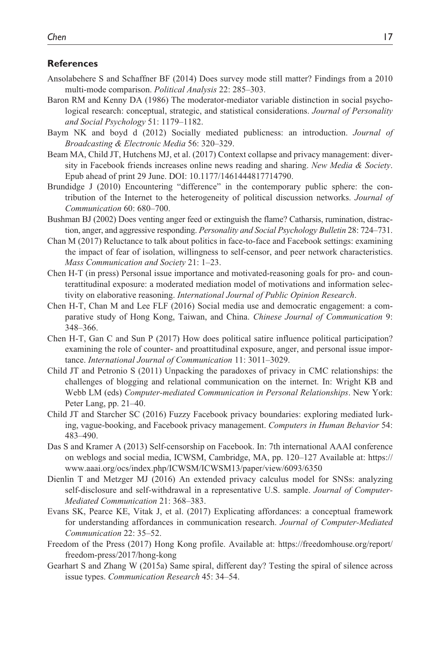#### **References**

- Ansolabehere S and Schaffner BF (2014) Does survey mode still matter? Findings from a 2010 multi-mode comparison. *Political Analysis* 22: 285–303.
- Baron RM and Kenny DA (1986) The moderator-mediator variable distinction in social psychological research: conceptual, strategic, and statistical considerations. *Journal of Personality and Social Psychology* 51: 1179–1182.
- Baym NK and boyd d (2012) Socially mediated publicness: an introduction. *Journal of Broadcasting & Electronic Media* 56: 320–329.
- Beam MA, Child JT, Hutchens MJ, et al. (2017) Context collapse and privacy management: diversity in Facebook friends increases online news reading and sharing. *New Media & Society*. Epub ahead of print 29 June. DOI: 10.1177/1461444817714790.
- Brundidge J (2010) Encountering "difference" in the contemporary public sphere: the contribution of the Internet to the heterogeneity of political discussion networks. *Journal of Communication* 60: 680–700.
- Bushman BJ (2002) Does venting anger feed or extinguish the flame? Catharsis, rumination, distraction, anger, and aggressive responding. *Personality and Social Psychology Bulletin* 28: 724–731.
- Chan M (2017) Reluctance to talk about politics in face-to-face and Facebook settings: examining the impact of fear of isolation, willingness to self-censor, and peer network characteristics. *Mass Communication and Society* 21: 1–23.
- Chen H-T (in press) Personal issue importance and motivated-reasoning goals for pro- and counterattitudinal exposure: a moderated mediation model of motivations and information selectivity on elaborative reasoning. *International Journal of Public Opinion Research*.
- Chen H-T, Chan M and Lee FLF (2016) Social media use and democratic engagement: a comparative study of Hong Kong, Taiwan, and China. *Chinese Journal of Communication* 9: 348–366.
- Chen H-T, Gan C and Sun P (2017) How does political satire influence political participation? examining the role of counter- and proattitudinal exposure, anger, and personal issue importance. *International Journal of Communication* 11: 3011–3029.
- Child JT and Petronio S (2011) Unpacking the paradoxes of privacy in CMC relationships: the challenges of blogging and relational communication on the internet. In: Wright KB and Webb LM (eds) *Computer-mediated Communication in Personal Relationships*. New York: Peter Lang, pp. 21–40.
- Child JT and Starcher SC (2016) Fuzzy Facebook privacy boundaries: exploring mediated lurking, vague-booking, and Facebook privacy management. *Computers in Human Behavior* 54: 483–490.
- Das S and Kramer A (2013) Self-censorship on Facebook. In: 7th international AAAI conference on weblogs and social media, ICWSM, Cambridge, MA, pp. 120–127 Available at: [https://](https://www.aaai.org/ocs/index.php/ICWSM/ICWSM13/paper/view/6093/6350) [www.aaai.org/ocs/index.php/ICWSM/ICWSM13/paper/view/6093/6350](https://www.aaai.org/ocs/index.php/ICWSM/ICWSM13/paper/view/6093/6350)
- Dienlin T and Metzger MJ (2016) An extended privacy calculus model for SNSs: analyzing self-disclosure and self-withdrawal in a representative U.S. sample. *Journal of Computer-Mediated Communication* 21: 368–383.
- Evans SK, Pearce KE, Vitak J, et al. (2017) Explicating affordances: a conceptual framework for understanding affordances in communication research. *Journal of Computer-Mediated Communication* 22: 35–52.
- Freedom of the Press (2017) Hong Kong profile. Available at: [https://freedomhouse.org/report/](https://freedomhouse.org/report/freedom-press/2017/hong-kong) [freedom-press/2017/hong-kong](https://freedomhouse.org/report/freedom-press/2017/hong-kong)
- Gearhart S and Zhang W (2015a) Same spiral, different day? Testing the spiral of silence across issue types. *Communication Research* 45: 34–54.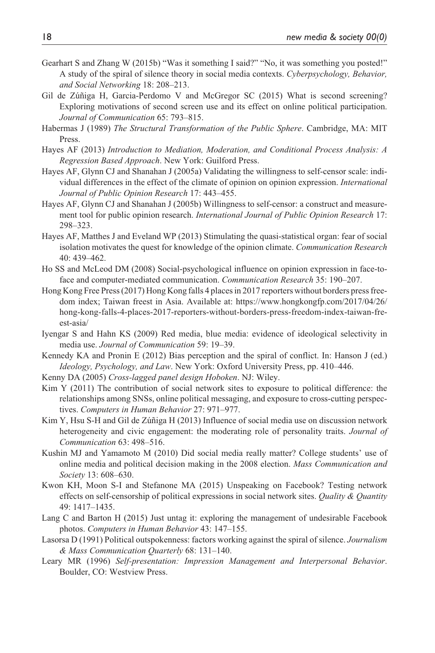- Gearhart S and Zhang W (2015b) "Was it something I said?" "No, it was something you posted!" A study of the spiral of silence theory in social media contexts. *Cyberpsychology, Behavior, and Social Networking* 18: 208–213.
- Gil de Zúñiga H, Garcia-Perdomo V and McGregor SC (2015) What is second screening? Exploring motivations of second screen use and its effect on online political participation. *Journal of Communication* 65: 793–815.
- Habermas J (1989) *The Structural Transformation of the Public Sphere*. Cambridge, MA: MIT Press.
- Hayes AF (2013) *Introduction to Mediation, Moderation, and Conditional Process Analysis: A Regression Based Approach*. New York: Guilford Press.
- Hayes AF, Glynn CJ and Shanahan J (2005a) Validating the willingness to self-censor scale: individual differences in the effect of the climate of opinion on opinion expression. *International Journal of Public Opinion Research* 17: 443–455.
- Hayes AF, Glynn CJ and Shanahan J (2005b) Willingness to self-censor: a construct and measurement tool for public opinion research. *International Journal of Public Opinion Research* 17: 298–323.
- Hayes AF, Matthes J and Eveland WP (2013) Stimulating the quasi-statistical organ: fear of social isolation motivates the quest for knowledge of the opinion climate. *Communication Research* 40: 439–462.
- Ho SS and McLeod DM (2008) Social-psychological influence on opinion expression in face-toface and computer-mediated communication. *Communication Research* 35: 190–207.
- Hong Kong Free Press (2017) Hong Kong falls 4 places in 2017 reporters without borders press freedom index; Taiwan freest in Asia. Available at: [https://www.hongkongfp.com/2017/04/26/](https://www.hongkongfp.com/2017/04/26/hong-kong-falls-4-places-2017-reporters-without-borders-press-freedom-index-taiwan-freest-asia/) [hong-kong-falls-4-places-2017-reporters-without-borders-press-freedom-index-taiwan-fre](https://www.hongkongfp.com/2017/04/26/hong-kong-falls-4-places-2017-reporters-without-borders-press-freedom-index-taiwan-freest-asia/)[est-asia/](https://www.hongkongfp.com/2017/04/26/hong-kong-falls-4-places-2017-reporters-without-borders-press-freedom-index-taiwan-freest-asia/)
- Iyengar S and Hahn KS (2009) Red media, blue media: evidence of ideological selectivity in media use. *Journal of Communication* 59: 19–39.
- Kennedy KA and Pronin E (2012) Bias perception and the spiral of conflict. In: Hanson J (ed.) *Ideology, Psychology, and Law*. New York: Oxford University Press, pp. 410–446.
- Kenny DA (2005) *Cross-lagged panel design Hoboken*. NJ: Wiley.
- Kim Y (2011) The contribution of social network sites to exposure to political difference: the relationships among SNSs, online political messaging, and exposure to cross-cutting perspectives. *Computers in Human Behavior* 27: 971–977.
- Kim Y, Hsu S-H and Gil de Zúñiga H (2013) Influence of social media use on discussion network heterogeneity and civic engagement: the moderating role of personality traits. *Journal of Communication* 63: 498–516.
- Kushin MJ and Yamamoto M (2010) Did social media really matter? College students' use of online media and political decision making in the 2008 election. *Mass Communication and Society* 13: 608–630.
- Kwon KH, Moon S-I and Stefanone MA (2015) Unspeaking on Facebook? Testing network effects on self-censorship of political expressions in social network sites. *Quality & Quantity* 49: 1417–1435.
- Lang C and Barton H (2015) Just untag it: exploring the management of undesirable Facebook photos. *Computers in Human Behavior* 43: 147–155.
- Lasorsa D (1991) Political outspokenness: factors working against the spiral of silence. *Journalism & Mass Communication Quarterly* 68: 131–140.
- Leary MR (1996) *Self-presentation: Impression Management and Interpersonal Behavior*. Boulder, CO: Westview Press.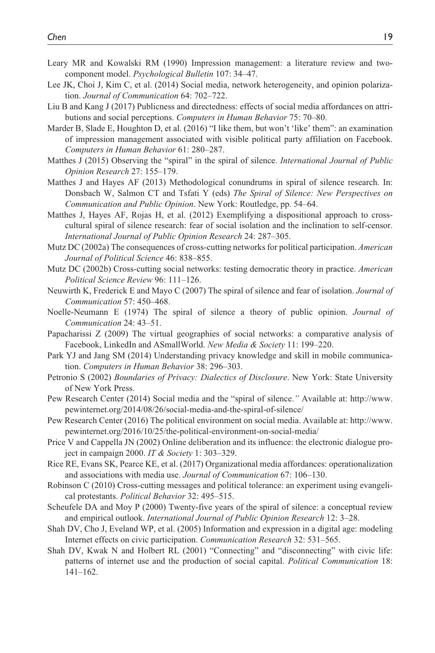- Leary MR and Kowalski RM (1990) Impression management: a literature review and twocomponent model. *Psychological Bulletin* 107: 34–47.
- Lee JK, Choi J, Kim C, et al. (2014) Social media, network heterogeneity, and opinion polarization. *Journal of Communication* 64: 702–722.
- Liu B and Kang J (2017) Publicness and directedness: effects of social media affordances on attributions and social perceptions. *Computers in Human Behavior* 75: 70–80.
- Marder B, Slade E, Houghton D, et al. (2016) "I like them, but won't 'like' them": an examination of impression management associated with visible political party affiliation on Facebook. *Computers in Human Behavior* 61: 280–287.
- Matthes J (2015) Observing the "spiral" in the spiral of silence. *International Journal of Public Opinion Research* 27: 155–179.
- Matthes J and Hayes AF (2013) Methodological conundrums in spiral of silence research. In: Donsbach W, Salmon CT and Tsfati Y (eds) *The Spiral of Silence: New Perspectives on Communication and Public Opinion*. New York: Routledge, pp. 54–64.
- Matthes J, Hayes AF, Rojas H, et al. (2012) Exemplifying a dispositional approach to crosscultural spiral of silence research: fear of social isolation and the inclination to self-censor. *International Journal of Public Opinion Research* 24: 287–305.
- Mutz DC (2002a) The consequences of cross-cutting networks for political participation. *American Journal of Political Science* 46: 838–855.
- Mutz DC (2002b) Cross-cutting social networks: testing democratic theory in practice. *American Political Science Review* 96: 111–126.
- Neuwirth K, Frederick E and Mayo C (2007) The spiral of silence and fear of isolation. *Journal of Communication* 57: 450–468.
- Noelle-Neumann E (1974) The spiral of silence a theory of public opinion. *Journal of Communication* 24: 43–51.
- Papacharissi Z (2009) The virtual geographies of social networks: a comparative analysis of Facebook, LinkedIn and ASmallWorld. *New Media & Society* 11: 199–220.
- Park YJ and Jang SM (2014) Understanding privacy knowledge and skill in mobile communication. *Computers in Human Behavior* 38: 296–303.
- Petronio S (2002) *Boundaries of Privacy: Dialectics of Disclosure*. New York: State University of New York Press.
- Pew Research Center (2014) Social media and the "spiral of silence.*"* Available at: [http://www.](http://www.pewinternet.org/2014/08/26/social-media-and-the-spiral-of-silence/) [pewinternet.org/2014/08/26/social-media-and-the-spiral-of-silence/](http://www.pewinternet.org/2014/08/26/social-media-and-the-spiral-of-silence/)
- Pew Research Center (2016) The political environment on social media. Available at: [http://www.](http://www.pewinternet.org/2016/10/25/the-political-environment-on-social-media/) [pewinternet.org/2016/10/25/the-political-environment-on-social-media/](http://www.pewinternet.org/2016/10/25/the-political-environment-on-social-media/)
- Price V and Cappella JN (2002) Online deliberation and its influence: the electronic dialogue project in campaign 2000. *IT & Society* 1: 303–329.
- Rice RE, Evans SK, Pearce KE, et al. (2017) Organizational media affordances: operationalization and associations with media use. *Journal of Communication* 67: 106–130.
- Robinson C (2010) Cross-cutting messages and political tolerance: an experiment using evangelical protestants. *Political Behavior* 32: 495–515.
- Scheufele DA and Moy P (2000) Twenty-five years of the spiral of silence: a conceptual review and empirical outlook. *International Journal of Public Opinion Research* 12: 3–28.
- Shah DV, Cho J, Eveland WP, et al. (2005) Information and expression in a digital age: modeling Internet effects on civic participation. *Communication Research* 32: 531–565.
- Shah DV, Kwak N and Holbert RL (2001) "Connecting" and "disconnecting" with civic life: patterns of internet use and the production of social capital. *Political Communication* 18: 141–162.